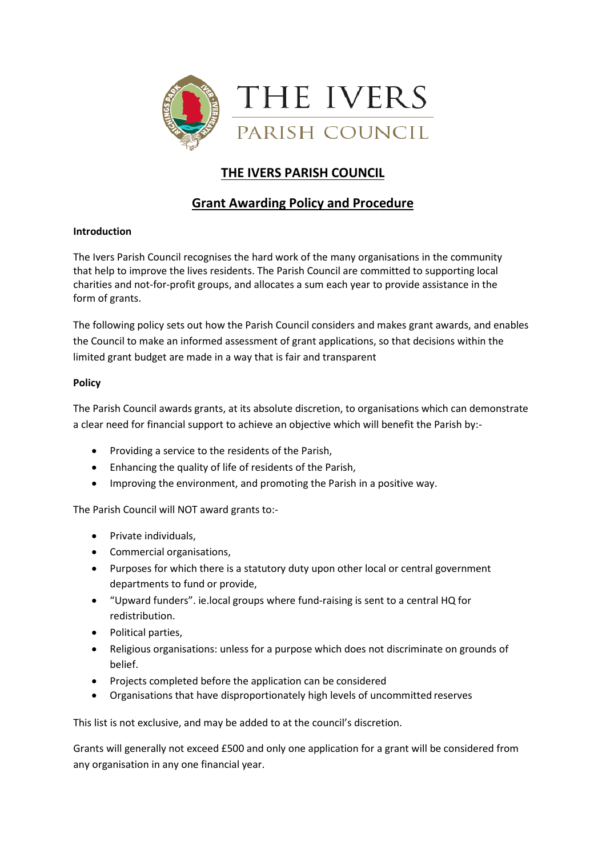

## **THE IVERS PARISH COUNCIL**

### **Grant Awarding Policy and Procedure**

#### **Introduction**

The Ivers Parish Council recognises the hard work of the many organisations in the community that help to improve the lives residents. The Parish Council are committed to supporting local charities and not-for-profit groups, and allocates a sum each year to provide assistance in the form of grants.

The following policy sets out how the Parish Council considers and makes grant awards, and enables the Council to make an informed assessment of grant applications, so that decisions within the limited grant budget are made in a way that is fair and transparent

#### **Policy**

The Parish Council awards grants, at its absolute discretion, to organisations which can demonstrate a clear need for financial support to achieve an objective which will benefit the Parish by:-

- Providing a service to the residents of the Parish,
- Enhancing the quality of life of residents of the Parish,
- Improving the environment, and promoting the Parish in a positive way.

The Parish Council will NOT award grants to:-

- Private individuals,
- Commercial organisations,
- Purposes for which there is a statutory duty upon other local or central government departments to fund or provide,
- "Upward funders". ie.local groups where fund-raising is sent to a central HQ for redistribution.
- Political parties,
- Religious organisations: unless for a purpose which does not discriminate on grounds of belief.
- Projects completed before the application can be considered
- Organisations that have disproportionately high levels of uncommitted reserves

This list is not exclusive, and may be added to at the council's discretion.

Grants will generally not exceed £500 and only one application for a grant will be considered from any organisation in any one financial year.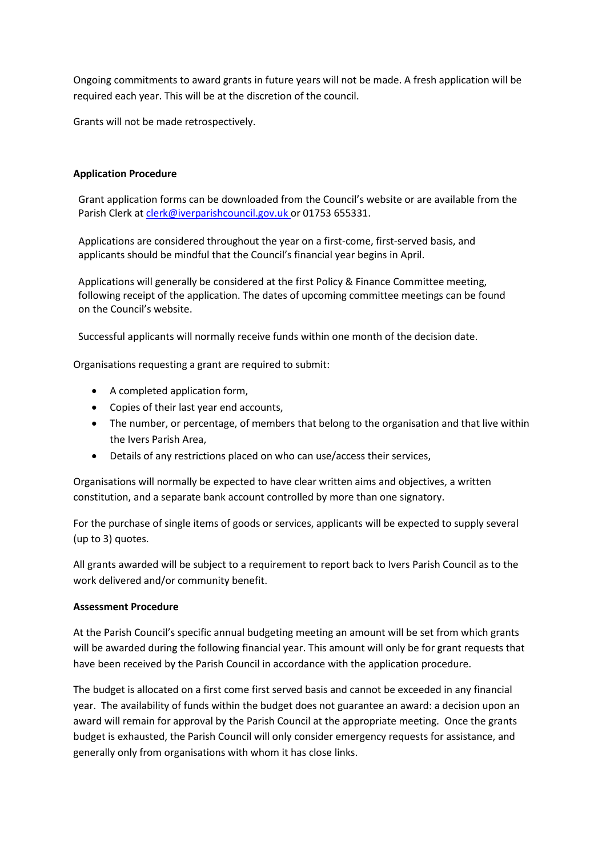Ongoing commitments to award grants in future years will not be made. A fresh application will be required each year. This will be at the discretion of the council.

Grants will not be made retrospectively.

### **Application Procedure**

Grant application forms can be downloaded from the Council's website or are available from the Parish Clerk a[t clerk@iverparishcouncil.gov.uk o](mailto:clerk@iverparishcouncil.gov.uk)r 01753 655331.

Applications are considered throughout the year on a first-come, first-served basis, and applicants should be mindful that the Council's financial year begins in April.

Applications will generally be considered at the first Policy & Finance Committee meeting, following receipt of the application. The dates of upcoming committee meetings can be found on the Council's website.

Successful applicants will normally receive funds within one month of the decision date.

Organisations requesting a grant are required to submit:

- A completed application form,
- Copies of their last year end accounts,
- The number, or percentage, of members that belong to the organisation and that live within the Ivers Parish Area,
- Details of any restrictions placed on who can use/access their services,

Organisations will normally be expected to have clear written aims and objectives, a written constitution, and a separate bank account controlled by more than one signatory.

For the purchase of single items of goods or services, applicants will be expected to supply several (up to 3) quotes.

All grants awarded will be subject to a requirement to report back to Ivers Parish Council as to the work delivered and/or community benefit.

#### **Assessment Procedure**

At the Parish Council's specific annual budgeting meeting an amount will be set from which grants will be awarded during the following financial year. This amount will only be for grant requests that have been received by the Parish Council in accordance with the application procedure.

The budget is allocated on a first come first served basis and cannot be exceeded in any financial year. The availability of funds within the budget does not guarantee an award: a decision upon an award will remain for approval by the Parish Council at the appropriate meeting. Once the grants budget is exhausted, the Parish Council will only consider emergency requests for assistance, and generally only from organisations with whom it has close links.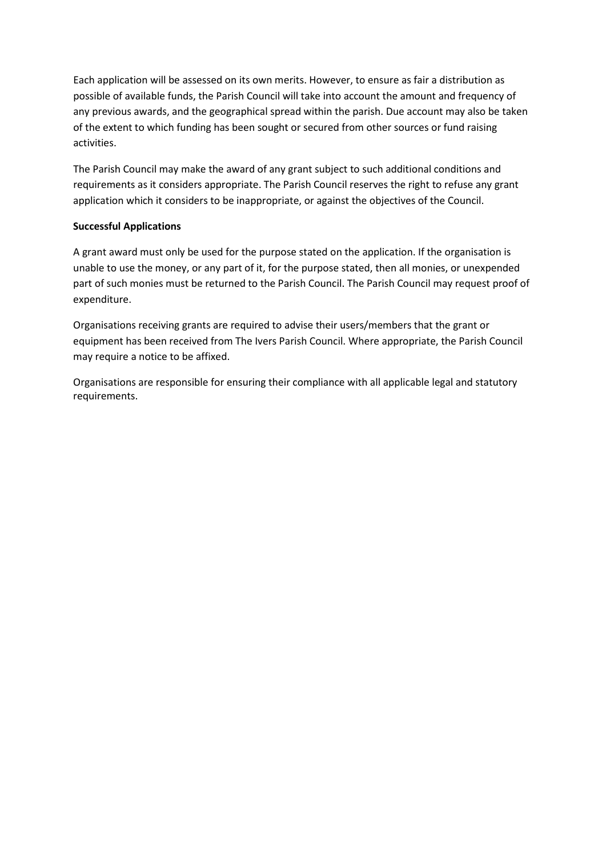Each application will be assessed on its own merits. However, to ensure as fair a distribution as possible of available funds, the Parish Council will take into account the amount and frequency of any previous awards, and the geographical spread within the parish. Due account may also be taken of the extent to which funding has been sought or secured from other sources or fund raising activities.

The Parish Council may make the award of any grant subject to such additional conditions and requirements as it considers appropriate. The Parish Council reserves the right to refuse any grant application which it considers to be inappropriate, or against the objectives of the Council.

#### **Successful Applications**

A grant award must only be used for the purpose stated on the application. If the organisation is unable to use the money, or any part of it, for the purpose stated, then all monies, or unexpended part of such monies must be returned to the Parish Council. The Parish Council may request proof of expenditure.

Organisations receiving grants are required to advise their users/members that the grant or equipment has been received from The Ivers Parish Council. Where appropriate, the Parish Council may require a notice to be affixed.

Organisations are responsible for ensuring their compliance with all applicable legal and statutory requirements.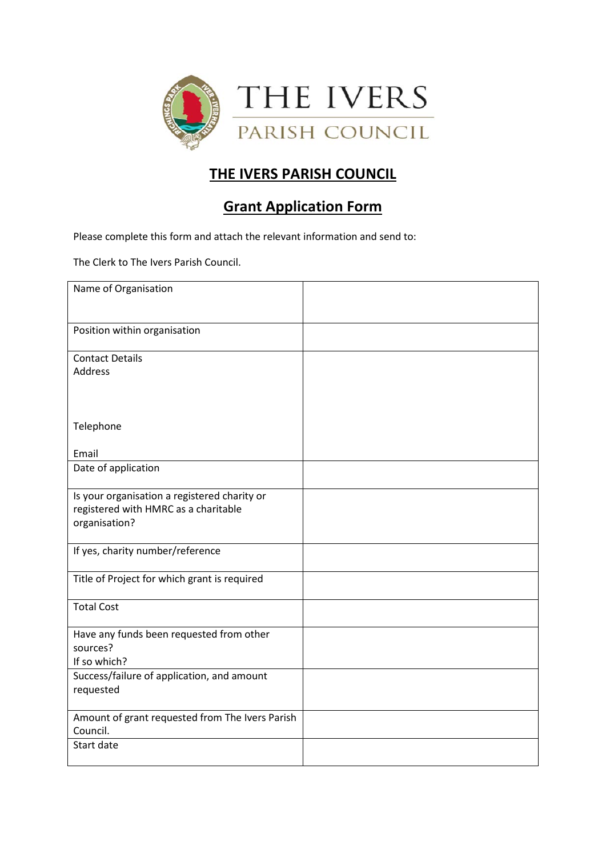

# **THE IVERS PARISH COUNCIL**

## **Grant Application Form**

Please complete this form and attach the relevant information and send to:

The Clerk to The Ivers Parish Council.

| Amount of grant requested from The Ivers Parish |
|-------------------------------------------------|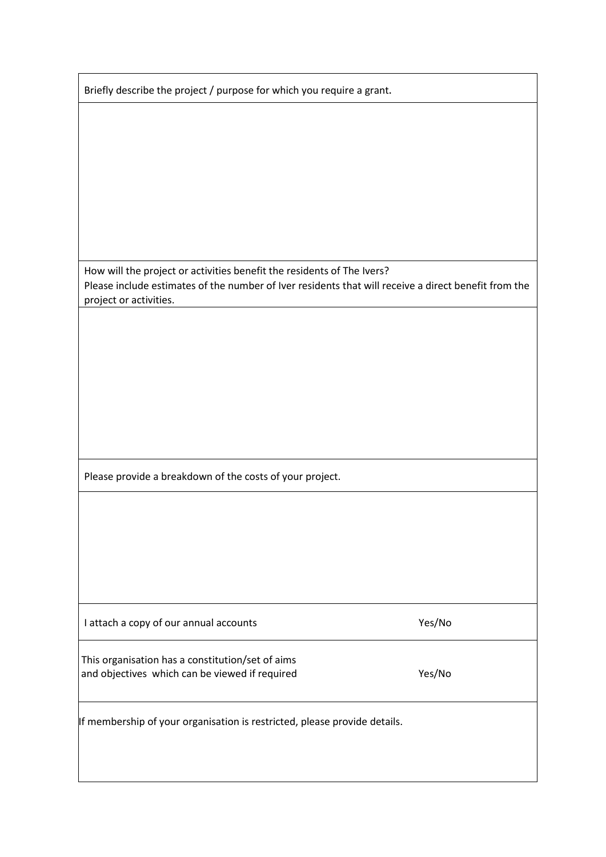| Briefly describe the project / purpose for which you require a grant.                                |        |
|------------------------------------------------------------------------------------------------------|--------|
|                                                                                                      |        |
|                                                                                                      |        |
|                                                                                                      |        |
|                                                                                                      |        |
|                                                                                                      |        |
|                                                                                                      |        |
|                                                                                                      |        |
|                                                                                                      |        |
|                                                                                                      |        |
|                                                                                                      |        |
|                                                                                                      |        |
|                                                                                                      |        |
| How will the project or activities benefit the residents of The Ivers?                               |        |
|                                                                                                      |        |
| Please include estimates of the number of Iver residents that will receive a direct benefit from the |        |
| project or activities.                                                                               |        |
|                                                                                                      |        |
|                                                                                                      |        |
|                                                                                                      |        |
|                                                                                                      |        |
|                                                                                                      |        |
|                                                                                                      |        |
|                                                                                                      |        |
|                                                                                                      |        |
|                                                                                                      |        |
|                                                                                                      |        |
|                                                                                                      |        |
|                                                                                                      |        |
| Please provide a breakdown of the costs of your project.                                             |        |
|                                                                                                      |        |
|                                                                                                      |        |
|                                                                                                      |        |
|                                                                                                      |        |
|                                                                                                      |        |
|                                                                                                      |        |
|                                                                                                      |        |
|                                                                                                      |        |
|                                                                                                      |        |
|                                                                                                      |        |
| I attach a copy of our annual accounts                                                               | Yes/No |
|                                                                                                      |        |
| This organisation has a constitution/set of aims                                                     |        |
|                                                                                                      |        |
| and objectives which can be viewed if required                                                       | Yes/No |
|                                                                                                      |        |
|                                                                                                      |        |
| If membership of your organisation is restricted, please provide details.                            |        |
|                                                                                                      |        |
|                                                                                                      |        |
|                                                                                                      |        |
|                                                                                                      |        |